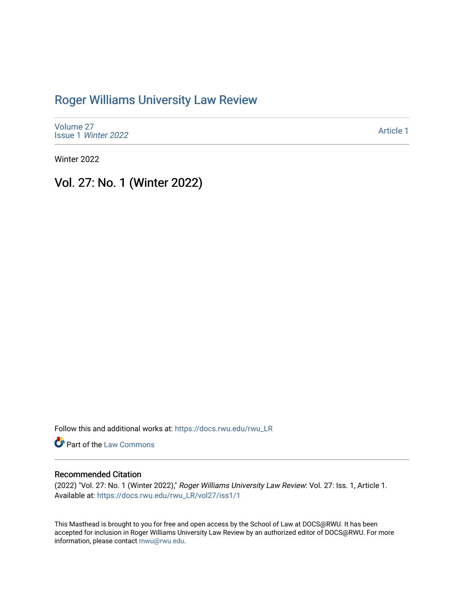# [Roger Williams University Law Review](https://docs.rwu.edu/rwu_LR)

[Volume 27](https://docs.rwu.edu/rwu_LR/vol27) Issue 1 [Winter 2022](https://docs.rwu.edu/rwu_LR/vol27/iss1) 

[Article 1](https://docs.rwu.edu/rwu_LR/vol27/iss1/1) 

Winter 2022

Vol. 27: No. 1 (Winter 2022)

Follow this and additional works at: [https://docs.rwu.edu/rwu\\_LR](https://docs.rwu.edu/rwu_LR?utm_source=docs.rwu.edu%2Frwu_LR%2Fvol27%2Fiss1%2F1&utm_medium=PDF&utm_campaign=PDFCoverPages) 

Part of the [Law Commons](http://network.bepress.com/hgg/discipline/578?utm_source=docs.rwu.edu%2Frwu_LR%2Fvol27%2Fiss1%2F1&utm_medium=PDF&utm_campaign=PDFCoverPages)

### Recommended Citation

(2022) "Vol. 27: No. 1 (Winter 2022)," Roger Williams University Law Review: Vol. 27: Iss. 1, Article 1. Available at: [https://docs.rwu.edu/rwu\\_LR/vol27/iss1/1](https://docs.rwu.edu/rwu_LR/vol27/iss1/1?utm_source=docs.rwu.edu%2Frwu_LR%2Fvol27%2Fiss1%2F1&utm_medium=PDF&utm_campaign=PDFCoverPages) 

This Masthead is brought to you for free and open access by the School of Law at DOCS@RWU. It has been accepted for inclusion in Roger Williams University Law Review by an authorized editor of DOCS@RWU. For more information, please contact [mwu@rwu.edu](mailto:mwu@rwu.edu).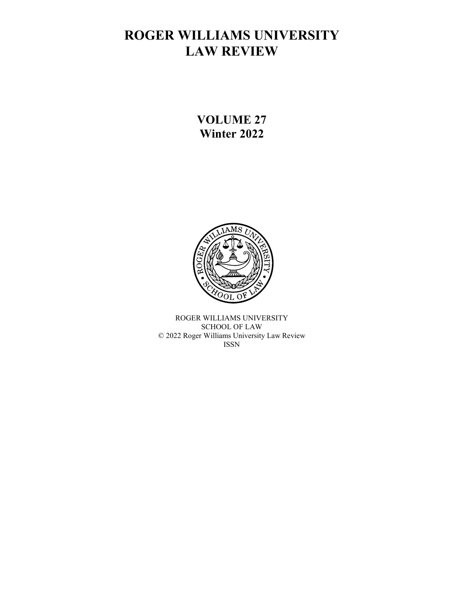# **ROGER WILLIAMS UNIVERSITY LAW REVIEW**

**VOLUME 27 Winter 2022**



ROGER WILLIAMS UNIVERSITY SCHOOL OF LAW © 2022 Roger Williams University Law Review ISSN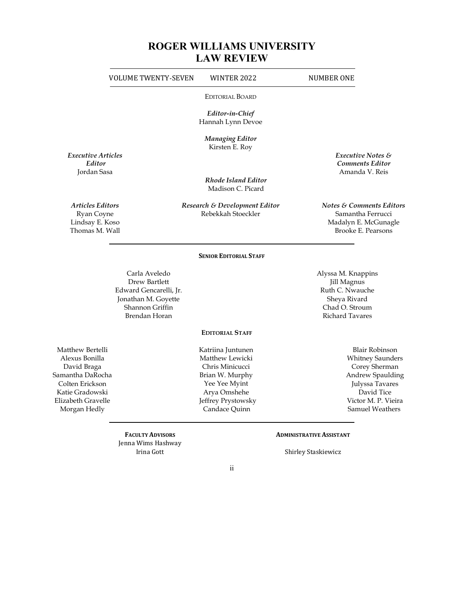# **ROGER WILLIAMS UNIVERSITY LAW REVIEW**

|                                                                                                                                                   | <b>VOLUME TWENTY-SEVEN</b>                                                                                          | WINTER 2022                                                                                                                                        | <b>NUMBER ONE</b>                                                                                                                                                |
|---------------------------------------------------------------------------------------------------------------------------------------------------|---------------------------------------------------------------------------------------------------------------------|----------------------------------------------------------------------------------------------------------------------------------------------------|------------------------------------------------------------------------------------------------------------------------------------------------------------------|
|                                                                                                                                                   |                                                                                                                     | <b>EDITORIAL BOARD</b>                                                                                                                             |                                                                                                                                                                  |
|                                                                                                                                                   |                                                                                                                     | Editor-in-Chief<br>Hannah Lynn Devoe                                                                                                               |                                                                                                                                                                  |
|                                                                                                                                                   |                                                                                                                     | <b>Managing Editor</b>                                                                                                                             |                                                                                                                                                                  |
| <b>Executive Articles</b><br>Editor                                                                                                               |                                                                                                                     | Kirsten E. Roy                                                                                                                                     | Executive Notes &<br><b>Comments Editor</b>                                                                                                                      |
| Jordan Sasa                                                                                                                                       |                                                                                                                     | <b>Rhode Island Editor</b><br>Madison C. Picard                                                                                                    | Amanda V. Reis                                                                                                                                                   |
| <b>Articles Editors</b><br>Ryan Coyne<br>Lindsay E. Koso<br>Thomas M. Wall                                                                        |                                                                                                                     | Research & Development Editor<br>Rebekkah Stoeckler                                                                                                | <b>Notes &amp; Comments Editors</b><br>Samantha Ferrucci<br>Madalyn E. McGunagle<br>Brooke E. Pearsons                                                           |
|                                                                                                                                                   |                                                                                                                     | <b>SENIOR EDITORIAL STAFF</b>                                                                                                                      |                                                                                                                                                                  |
|                                                                                                                                                   | Carla Aveledo<br>Drew Bartlett<br>Edward Gencarelli, Jr.<br>Jonathan M. Goyette<br>Shannon Griffin<br>Brendan Horan |                                                                                                                                                    | Alyssa M. Knappins<br>Jill Magnus<br>Ruth C. Nwauche<br>Sheya Rivard<br>Chad O. Stroum<br><b>Richard Tavares</b>                                                 |
|                                                                                                                                                   |                                                                                                                     | <b>EDITORIAL STAFF</b>                                                                                                                             |                                                                                                                                                                  |
| Matthew Bertelli<br>Alexus Bonilla<br>David Braga<br>Samantha DaRocha<br>Colten Erickson<br>Katie Gradowski<br>Elizabeth Gravelle<br>Morgan Hedly |                                                                                                                     | Katriina Juntunen<br>Matthew Lewicki<br>Chris Minicucci<br>Brian W. Murphy<br>Yee Yee Myint<br>Arya Omshehe<br>Jeffrey Prystowsky<br>Candace Quinn | <b>Blair Robinson</b><br><b>Whitney Saunders</b><br>Corey Sherman<br>Andrew Spaulding<br>Julyssa Tavares<br>David Tice<br>Victor M. P. Vieira<br>Samuel Weathers |
|                                                                                                                                                   | <b>FACULTY ADVISORS</b><br>Jenna Wims Hashway<br>Irina Gott                                                         |                                                                                                                                                    | <b>ADMINISTRATIVE ASSISTANT</b><br><b>Shirley Staskiewicz</b>                                                                                                    |
|                                                                                                                                                   |                                                                                                                     | $\rm ii$                                                                                                                                           |                                                                                                                                                                  |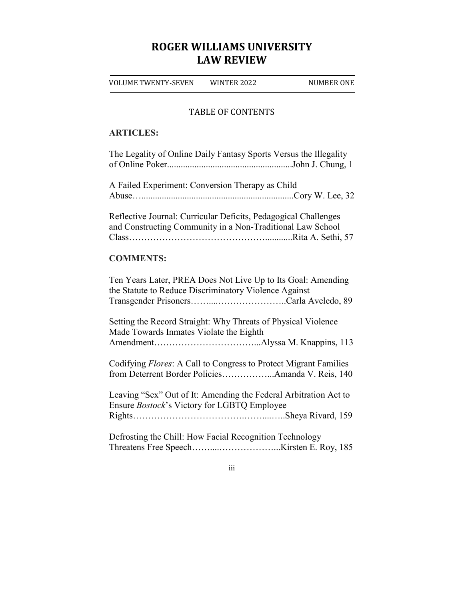# **ROGER WILLIAMS UNIVERSITY LAW REVIEW**

VOLUME TWENTY-SEVEN WINTER 2022 NUMBER ONE

### TABLE OF CONTENTS

### **ARTICLES:**

| The Legality of Online Daily Fantasy Sports Versus the Illegality                                                             |
|-------------------------------------------------------------------------------------------------------------------------------|
| A Failed Experiment: Conversion Therapy as Child                                                                              |
| Reflective Journal: Curricular Deficits, Pedagogical Challenges<br>and Constructing Community in a Non-Traditional Law School |
| <b>COMMENTS:</b>                                                                                                              |
| Ten Years Later, PREA Does Not Live Up to Its Goal: Amending<br>the Statute to Reduce Discriminatory Violence Against         |
| Setting the Record Straight: Why Threats of Physical Violence<br>Made Towards Inmates Violate the Eighth                      |
| Codifying Flores: A Call to Congress to Protect Migrant Families<br>from Deterrent Border PoliciesAmanda V. Reis, 140         |
| Leaving "Sex" Out of It: Amending the Federal Arbitration Act to<br>Ensure Bostock's Victory for LGBTQ Employee               |
| Defrosting the Chill: How Facial Recognition Technology                                                                       |

iii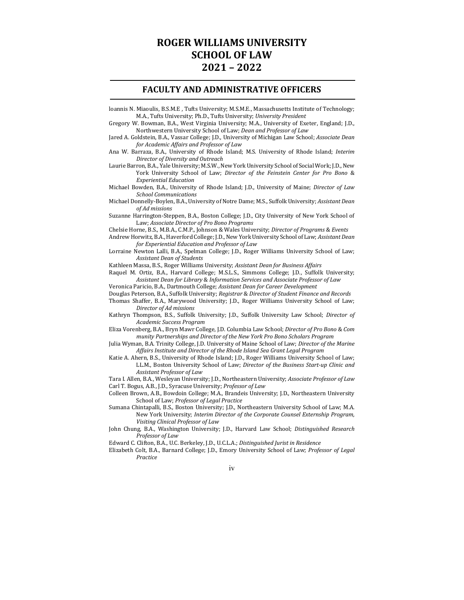## **ROGER WILLIAMS UNIVERSITY SCHOOL OF LAW 2021 – 2022**

#### **FACULTY AND ADMINISTRATIVE OFFICERS**

- loannis N. Miaoulis, B.S.M.E , Tufts University; M.S.M.E., Massachusetts Institute of Technology; M.A., Tufts University; Ph.D., Tufts University; *University President*
- Gregory W. Bowman, B.A., West Virginia University; M.A., University of Exeter, England; J.D., Northwestern University School of Law; *Dean and Professor of Law*
- Jared A. Goldstein, B.A., Vassar College; J.D., University of Michigan Law School; *Associate Dean for Academic Affairs and Professor of Law*
- Ana W. Barraza, B.A., University of Rhode Island; M.S. University of Rhode Island; *Interim Director of Diversity and Outreach*
- Laurie Barron, B.A., Yale University; M.S.W., New York University School of Social Work; J.D., New York University School of Law; *Director of the Feinstein Center for Pro Bono* & *Experiential Education*
- Michael Bowden, B.A., University of Rhode Island; J.D., University of Maine; *Director of Law School Communications*
- Michael Donnelly-Boylen, B.A., University of Notre Dame; M.S., Suffolk University; *Assistant Dean of Ad missions*
- Suzanne Harrington-Steppen, B.A., Boston College; J.D., City University of New York School of Law; *Associate Director of Pro Bono Programs*
- Chelsie Horne, B.S., M.B.A., C.M.P., Johnson & Wales University; *Director of Programs* & *Events*
- Andrew Horwitz, B.A., Haverford College; J.D., New York University School of Law; *Assistant Dean for Experiential Education and Professor of Law*
- Lorraine Newton Lalli, B.A., Spelman College; J.D., Roger Williams University School of Law; *Assistant Dean of Students*
- Kathleen Massa, B.S., Roger Williams University; *Assistant Dean for Business Affairs*
- Raquel M. Ortiz, B.A., Harvard College; M.S.L.S., Simmons College; J.D., Suffolk University; *Assistant Dean for Library* & *Information Services and Associate Professor of Law*
- Veronica Paricio, B.A., Dartmouth College; *Assistant Dean for Career Development*
- Douglas Peterson, B.A., Suffolk University; *Registrar* & *Director of Student Finance and Records* Thomas Shaffer, B.A., Marywood University; J.D., Roger Williams University School of Law;
- *Director of Ad missions* Kathryn Thompson, B.S., Suffolk University; J.D., Suffolk University Law School; *Director of Academic Success Program*
- Eliza Vorenberg, B.A., Bryn Mawr College, J.D. Columbia Law School; *Director of Pro Bono* & *Com munity Partnerships and Director of the New York Pro Bono Scholars Program*
- Julia Wyman, B.A. Trinity College, J.D. University of Maine School of Law; *Director of the Marine Affairs Institute and Director of the Rhode Island Sea Grant Legal Program*
- Katie A. Ahern, B.S., University of Rhode Island; J.D., Roger Williams University School of Law; LL.M., Boston University School of Law; *Director of the Business Start-up Clinic and Assistant Professor of Law*
- Tara I. Allen, B.A., Wesleyan University; J.D., Northeastern University; *Associate Professor of Law* Carl T. Bogus, A.B., J.D., Syracuse University; *Professor of Law*
- Colleen Brown, A.B., Bowdoin College; M.A., Brandeis University; J.D., Northeastern University School of Law; *Professor of Legal Practice*
- Sumana Chintapalli, B.S., Boston University; J.D., Northeastern University School of Law; M.A. New York University; *Interim Director of the Corporate Counsel Externship Program, Visiting Clinical Professor of Law*
- John Chung, B.A., Washington University; J.D., Harvard Law School; *Distinguished Research Professor of Law*

Edward C. Clifton, B.A., U.C. Berkeley, J.D., U.C.L.A.; *Distinguished Jurist in Residence*

Elizabeth Colt, B.A., Barnard College; J.D., Emory University School of Law; *Professor of Legal Practice*

iv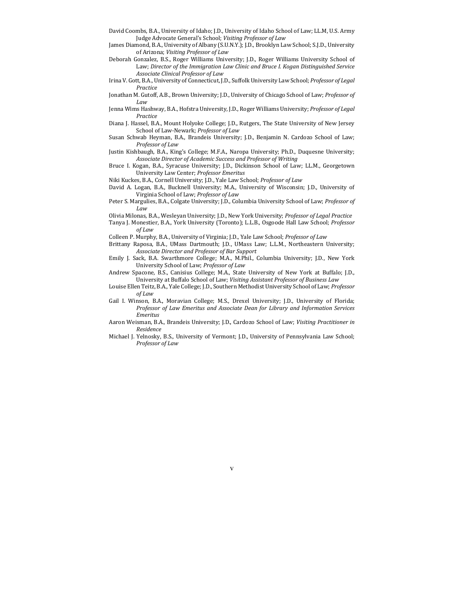- David Coombs, B.A., University of Idaho; J.D., University of Idaho School of Law; LL.M, U.S. Army Judge Advocate General's School; *Visiting Professor of Law*
- James Diamond, B.A., University of Albany (S.U.N.Y.); J.D., Brooklyn Law School; S.J.D., University of Arizona; *Visiting Professor of Law*
- Deborah Gonzalez, B.S., Roger Williams University; J.D., Roger Williams University School of Law; *Director of the Immigration Law Clinic and Bruce I. Kogan Distinguished Service Associate Clinical Professor of Law*
- Irina V. Gott, B.A., University of Connecticut, J.D., Suffolk University Law School; *Professor of Legal Practice*
- Jonathan M. Gutoff, A.B., Brown University; J.D., University of Chicago School of Law; *Professor of Law*
- Jenna Wims Hashway, B.A., Hofstra University, J.D., Roger Williams University; *Professor of Legal Practice*
- Diana J. Hassel, B.A., Mount Holyoke College; J.D., Rutgers, The State University of New Jersey School of Law-Newark; *Professor of Law*
- Susan Schwab Heyman, B.A., Brandeis University; J.D., Benjamin N. Cardozo School of Law; *Professor of Law*
- Justin Kishbaugh, B.A., King's College; M.F.A., Naropa University; Ph.D., Duquesne University; *Associate Director of Academic Success and Professor of Writing*
- Bruce I. Kogan, B.A., Syracuse University; J.D., Dickinson School of Law; LL.M., Georgetown University Law Center; *Professor Emeritus*
- Niki Kuckes, B.A., Cornell University; J.D., Yale Law School; *Professor of Law*
- David A. Logan, B.A., Bucknell University; M.A., University of Wisconsin; J.D., University of Virginia School of Law; *Professor of Law*
- Peter S. Margulies, B.A., Colgate University; J.D., Columbia University School of Law; *Professor of Law*
- Olivia Milonas, B.A., Wesleyan University; J.D., New York University; *Professor of Legal Practice*
- Tanya J. Monestier, B.A., York University (Toronto); L.L.B., Osgoode Hall Law School; *Professor of Law*
- Colleen P. Murphy, B.A., University of Virginia; J.D., Yale Law School; *Professor of Law*
- Brittany Raposa, B.A., UMass Dartmouth; J.D., UMass Law; L.L.M., Northeastern University; *Associate Director and Professor of Bar Support*
- Emily J. Sack, B.A. Swarthmore College; M.A., M.Phil., Columbia University; J.D., New York University School of Law; *Professor of Law*
- Andrew Spacone, B.S., Canisius College; M.A., State University of New York at Buffalo; J.D., University at Buffalo School of Law; *Visiting Assistant Professor of Business Law*
- Louise Ellen Teitz, B.A., Yale College; J.D., Southern Methodist University School of Law; *Professor of Law*
- Gail I. Winson, B.A., Moravian College; M.S., Drexel University; J.D., University of Florida; *Professor of Law Emeritus and Associate Dean for Library and Information Services Emeritus*
- Aaron Weisman, B.A., Brandeis University; J.D., Cardozo School of Law; *Visiting Practitioner in Residence*
- Michael J. Yelnosky, B.S., University of Vermont; J.D., University of Pennsylvania Law School; *Professor of Law*

v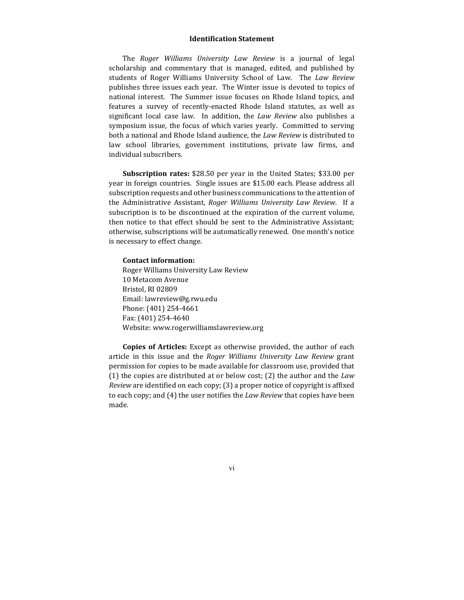### **Identification Statement**

The *Roger Williams University Law Review* is a journal of legal scholarship and commentary that is managed, edited, and published by students of Roger Williams University School of Law. The *Law Review* publishes three issues each year. The Winter issue is devoted to topics of national interest. The Summer issue focuses on Rhode Island topics, and features a survey of recently-enacted Rhode Island statutes, as well as significant local case law. In addition, the *Law Review* also publishes a symposium issue, the focus of which varies yearly. Committed to serving both a national and Rhode Island audience, the *Law Review* is distributed to law school libraries, government institutions, private law firms, and individual subscribers.

**Subscription rates:** \$28.50 per year in the United States; \$33.00 per year in foreign countries. Single issues are \$15.00 each. Please address all subscription requests and other business communications to the attention of the Administrative Assistant, *Roger Williams University Law Review*. If a subscription is to be discontinued at the expiration of the current volume, then notice to that effect should be sent to the Administrative Assistant; otherwise, subscriptions will be automatically renewed. One month's notice is necessary to effect change.

### **Contact information:**

Roger Williams University Law Review 10 Metacom Avenue Bristol, RI 02809 Email: lawreview@g.rwu.edu Phone: (401) 254-4661 Fax: (401) 254-4640 Website: www.rogerwilliamslawreview.org

**Copies of Articles:** Except as otherwise provided, the author of each article in this issue and the *Roger Williams University Law Review* grant permission for copies to be made available for classroom use, provided that (1) the copies are distributed at or below cost; (2) the author and the *Law Review* are identified on each copy; (3) a proper notice of copyright is affixed to each copy; and (4) the user notifies the *Law Review* that copies have been made.

vi